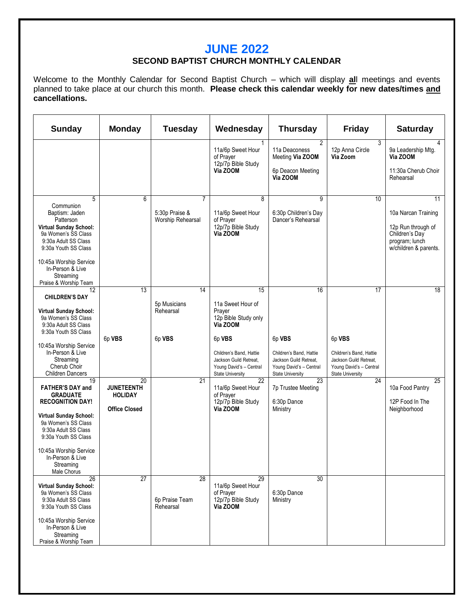### **JUNE 2022**

#### **SECOND BAPTIST CHURCH MONTHLY CALENDAR**

Welcome to the Monthly Calendar for Second Baptist Church – which will display **al**l meetings and events planned to take place at our church this month. **Please check this calendar weekly for new dates/times and cancellations.** 

| <b>Sunday</b>                                                                                                                                                                                                                                                                            | <b>Monday</b>                                                     | Tuesday                                   | Wednesday                                                                                                                                                       | <b>Thursday</b>                                                                              | <b>Friday</b>                                                                                | <b>Saturday</b>                                                                                              |
|------------------------------------------------------------------------------------------------------------------------------------------------------------------------------------------------------------------------------------------------------------------------------------------|-------------------------------------------------------------------|-------------------------------------------|-----------------------------------------------------------------------------------------------------------------------------------------------------------------|----------------------------------------------------------------------------------------------|----------------------------------------------------------------------------------------------|--------------------------------------------------------------------------------------------------------------|
|                                                                                                                                                                                                                                                                                          |                                                                   |                                           | 11a/6p Sweet Hour<br>of Praver<br>12p/7p Bible Study<br>Via ZOOM                                                                                                | $\overline{2}$<br>11a Deaconess<br>Meeting Via ZOOM<br>6p Deacon Meeting<br>Via ZOOM         | 3<br>12p Anna Circle<br>Via Zoom                                                             | 4<br>9a Leadership Mtg.<br>Via ZOOM<br>11:30a Cherub Choir<br>Rehearsal                                      |
| 5<br>Communion<br>Baptism: Jaden<br>Patterson<br>Virtual Sunday School:<br>9a Women's SS Class<br>9:30a Adult SS Class<br>9:30a Youth SS Class<br>10:45a Worship Service<br>In-Person & Live<br>Streaming<br>Praise & Worship Team                                                       | 6                                                                 | 7<br>5:30p Praise &<br>Worship Rehearsal  | 8<br>11a/6p Sweet Hour<br>of Prayer<br>12p/7p Bible Study<br>Via ZOOM                                                                                           | 9<br>6:30p Children's Day<br>Dancer's Rehearsal                                              | 10                                                                                           | 11<br>10a Narcan Training<br>12p Run through of<br>Children's Day<br>program; lunch<br>w/children & parents. |
| $\overline{12}$<br><b>CHILDREN'S DAY</b><br>Virtual Sunday School:<br>9a Women's SS Class<br>9:30a Adult SS Class<br>9:30a Youth SS Class<br>10:45a Worship Service<br>In-Person & Live<br>Streaming<br>Cherub Choir                                                                     | 13<br>6p VBS                                                      | 14<br>5p Musicians<br>Rehearsal<br>6p VBS | 15<br>11a Sweet Hour of<br>Prayer<br>12p Bible Study only<br>Via ZOOM<br>6p VBS<br>Children's Band, Hattie<br>Jackson Guild Retreat,<br>Young David's - Central | 16<br>6p VBS<br>Children's Band, Hattie<br>Jackson Guild Retreat,<br>Young David's - Central | 17<br>6p VBS<br>Children's Band, Hattie<br>Jackson Guild Retreat,<br>Young David's - Central | 18                                                                                                           |
| <b>Children Dancers</b><br>19<br><b>FATHER'S DAY and</b><br><b>GRADUATE</b><br><b>RECOGNITION DAY!</b><br><b>Virtual Sunday School:</b><br>9a Women's SS Class<br>9:30a Adult SS Class<br>9:30a Youth SS Class<br>10:45a Worship Service<br>In-Person & Live<br>Streaming<br>Male Chorus | 20<br><b>JUNETEENTH</b><br><b>HOLIDAY</b><br><b>Office Closed</b> | $\overline{21}$                           | <b>State University</b><br>$\overline{22}$<br>11a/6p Sweet Hour<br>of Prayer<br>12p/7p Bible Study<br>Via ZOOM                                                  | <b>State University</b><br>23<br>7p Trustee Meeting<br>6:30p Dance<br>Ministry               | <b>State University</b><br>$\overline{24}$                                                   | 25<br>10a Food Pantry<br>12P Food In The<br>Neighborhood                                                     |
| 26<br><b>Virtual Sunday School:</b><br>9a Women's SS Class<br>9:30a Adult SS Class<br>9:30a Youth SS Class<br>10:45a Worship Service<br>In-Person & Live<br>Streaming<br>Praise & Worship Team                                                                                           | $\overline{27}$                                                   | 28<br>6p Praise Team<br>Rehearsal         | 29<br>11a/6p Sweet Hour<br>of Prayer<br>12p/7p Bible Study<br>Via ZOOM                                                                                          | 30<br>6:30p Dance<br>Ministry                                                                |                                                                                              |                                                                                                              |